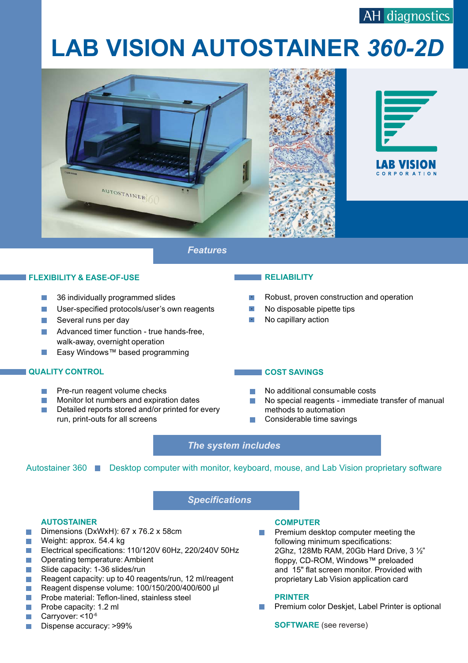# **LAB VISION AUTOSTAINER** *360-2D*





*Features*

#### **FLEXIBILITY & EASE-OF-USE**

- 36 individually programmed slides
- **•** User-specified protocols/user's own reagents
- **·** Several runs per day
- **·** Advanced timer function true hands-free, walk-away, overnight operation
- **·** Easy Windows™ based programming

#### **QUALITY CONTROL**

- Pre-run reagent volume checks
- $\blacksquare$  Monitor lot numbers and expiration dates
- Detailed reports stored and/or printed for every  $\Box$ run, print-outs for all screens

#### **RELIABILITY**

- Robust, proven construction and operation
- · No disposable pipette tips
- · No capillary action

#### **COST SAVINGS**

- No additional consumable costs
- · No special reagents immediate transfer of manual methods to automation
- Considerable time savings

### *The system includes*

Autostainer 360 Desktop computer with monitor, keyboard, mouse, and Lab Vision proprietary software

## *Specifications*

#### **AUTOSTAINER**

- **Dimensions (DxWxH): 67 x 76.2 x 58cm**
- Weight: approx. 54.4 kg
- Electrical specifications: 110/120V 60Hz, 220/240V 50Hz
- **Operating temperature: Ambient**
- **B** Slide capacity: 1-36 slides/run
- **Reagent capacity: up to 40 reagents/run, 12 ml/reagent**
- Reagent dispense volume: 100/150/200/400/600 µl
- **Probe material: Teflon-lined, stainless steel**
- **Probe capacity: 1.2 ml**
- Carryover: <10<sup>-6</sup>
- **Dispense accuracy: >99%**

#### **COMPUTER**

Premium desktop computer meeting the following minimum specifications: 2Ghz, 128Mb RAM, 20Gb Hard Drive, 3 ½" floppy, CD-ROM, Windows™ preloaded and 15" flat screen monitor. Provided with proprietary Lab Vision application card

#### **PRINTER**

**• Premium color Deskjet, Label Printer is optional** 

**SOFTWARE** (see reverse)